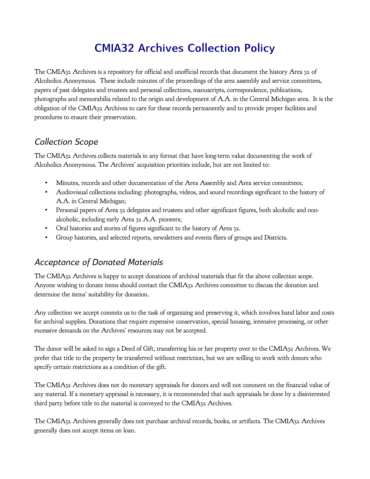# **CMIA32 Archives Collection Policy**

The CMIA32 Archives is a repository for official and unofficial records that document the history Area 32 of Alcoholics Anonymous. These include minutes of the proceedings of the area assembly and service committees, papers of past delegates and trustees and personal collections, manuscripts, correspondence, publications, photographs and memorabilia related to the origin and development of A.A. in the Central Michigan area. It is the obligation of the CMIA32 Archives to care for these records permanently and to provide proper facilities and procedures to ensure their preservation.

#### *Collection Scope*

The CMIA32 Archives collects materials in any format that have long-term value documenting the work of Alcoholics Anonymous. The Archives' acquisition priorities include, but are not limited to:

- Minutes, records and other documentation of the Area Assembly and Area service committees;
- Audiovisual collections including: photographs, videos, and sound recordings significant to the history of A.A. in Central Michigan;
- Personal papers of Area 32 delegates and trustees and other significant figures, both alcoholic and nonalcoholic, including early Area 32 A.A. pioneers;
- Oral histories and stories of figures significant to the history of Area 32.
- Group histories, and selected reports, newsletters and events fliers of groups and Districts.

## *Acceptance of Donated Materials*

The CMIA32 Archives is happy to accept donations of archival materials that fit the above collection scope. Anyone wishing to donate items should contact the CMIA32 Archives committee to discuss the donation and determine the items' suitability for donation.

Any collection we accept commits us to the task of organizing and preserving it, which involves hand labor and costs for archival supplies. Donations that require expensive conservation, special housing, intensive processing, or other excessive demands on the Archives' resources may not be accepted.

The donor will be asked to sign a Deed of Gift, transferring his or her property over to the CMIA32 Archives. We prefer that title to the property be transferred without restriction, but we are willing to work with donors who specify certain restrictions as a condition of the gift.

The CMIA32 Archives does not do monetary appraisals for donors and will not comment on the financial value of any material. If a monetary appraisal is necessary, it is recommended that such appraisals be done by a disinterested third party before title to the material is conveyed to the CMIA32 Archives.

The CMIA32 Archives generally does not purchase archival records, books, or artifacts. The CMIA32 Archives generally does not accept items on loan.